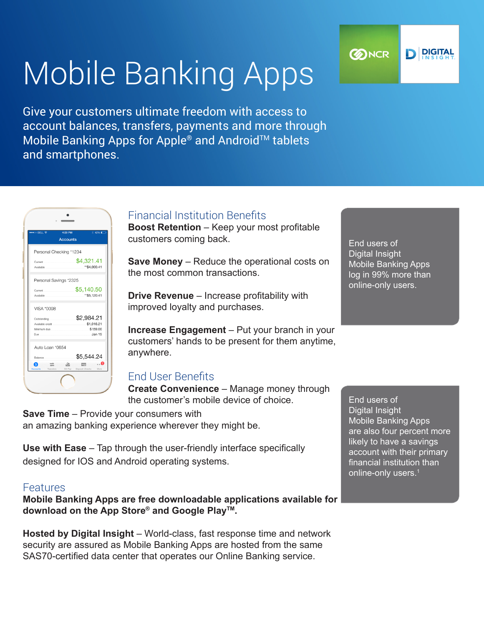# Mobile Banking Apps

Give your customers ultimate freedom with access to account balances, transfers, payments and more through Mobile Banking Apps for Apple<sup>®</sup> and Android™ tablets and smartphones.



## Financial Institution Benefits

**Boost Retention** – Keep your most profitable customers coming back.

**Save Money** – Reduce the operational costs on the most common transactions.

**Drive Revenue** – Increase profitability with improved loyalty and purchases.

**Increase Engagement** – Put your branch in your customers' hands to be present for them anytime, anywhere.

## End User Benefits

**Create Convenience** – Manage money through the customer's mobile device of choice.

**Save Time** – Provide your consumers with an amazing banking experience wherever they might be.

**Use with Ease** – Tap through the user-friendly interface specifically designed for IOS and Android operating systems.

#### Features

**Mobile Banking Apps are free downloadable applications available for download on the App Store® and Google PlayTM.**

**Hosted by Digital Insight** – World-class, fast response time and network security are assured as Mobile Banking Apps are hosted from the same SAS70-certified data center that operates our Online Banking service.

End users of Digital Insight Mobile Banking Apps log in 99% more than online-only users.

End users of Digital Insight Mobile Banking Apps are also four percent more likely to have a savings account with their primary financial institution than online-only users.<sup>1</sup>

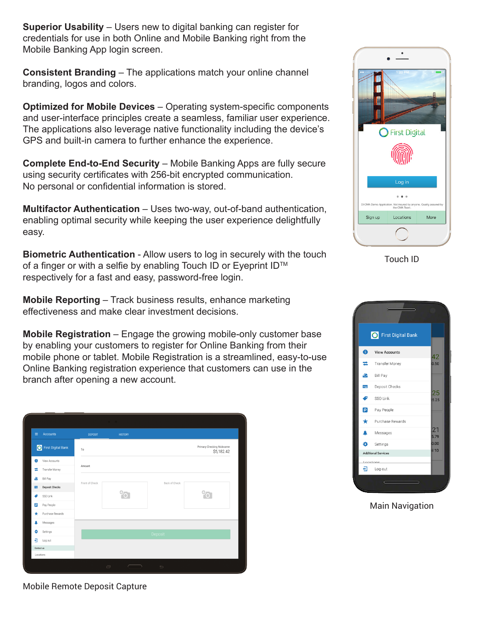**Superior Usability** – Users new to digital banking can register for credentials for use in both Online and Mobile Banking right from the Mobile Banking App login screen.

**Consistent Branding** – The applications match your online channel branding, logos and colors.

**Optimized for Mobile Devices** – Operating system-specific components and user-interface principles create a seamless, familiar user experience. The applications also leverage native functionality including the device's GPS and built-in camera to further enhance the experience.

**Complete End-to-End Security** – Mobile Banking Apps are fully secure using security certificates with 256-bit encrypted communication. No personal or confidential information is stored.

**Multifactor Authentication** – Uses two-way, out-of-band authentication, enabling optimal security while keeping the user experience delightfully easy.

**Biometric Authentication** - Allow users to log in securely with the touch of a finger or with a selfie by enabling Touch ID or Eyeprint ID™ respectively for a fast and easy, password-free login.

**Mobile Reporting** – Track business results, enhance marketing effectiveness and make clear investment decisions.

**Mobile Registration** – Engage the growing mobile-only customer base by enabling your customers to register for Online Banking from their mobile phone or tablet. Mobile Registration is a streamlined, easy-to-use Online Banking registration experience that customers can use in the branch after opening a new account.

| $\equiv$       | <b>Accounts</b>       | <b>DEPOSIT</b> | <b>HISTORY</b>            |               |                                         |
|----------------|-----------------------|----------------|---------------------------|---------------|-----------------------------------------|
|                | First Digital Bank    | To             |                           |               | Primary Checking Nickname<br>\$5,182.42 |
| $\bullet$      | View Accounts         |                |                           |               |                                         |
| $\equiv$       | Transfer Money        | Amount         |                           |               |                                         |
| ఆ              | Bill Pay              | Front of Check |                           | Back of Check |                                         |
| Ξ              | <b>Deposit Checks</b> |                | $\boldsymbol{\mathrm{o}}$ |               | $\sqrt[6]{\cdot}$                       |
| €              | SSO Link              |                |                           |               |                                         |
| $\boxed{\rho}$ | Pay People            |                |                           |               |                                         |
| $\star$        | Purchase Rewards      |                |                           |               |                                         |
| ٨              | Messages              |                |                           |               |                                         |
| ó              | Settings              | Deposit        |                           |               |                                         |
| a              | Log out               |                |                           |               |                                         |
| Contact us     |                       |                |                           |               |                                         |
| Locations      |                       |                |                           |               |                                         |
|                |                       |                | $\Box$                    | $\Rightarrow$ |                                         |



Touch ID



Main Navigation

Mobile Remote Deposit Capture